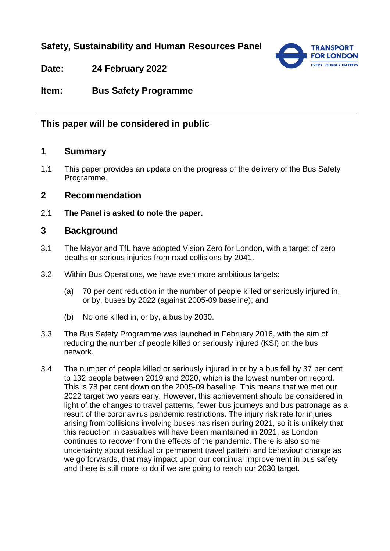# **Safety, Sustainability and Human Resources Panel**



**Date: 24 February 2022**

**Item: Bus Safety Programme**

## **This paper will be considered in public**

## **1 Summary**

1.1 This paper provides an update on the progress of the delivery of the Bus Safety Programme.

#### **2 Recommendation**

2.1 **The Panel is asked to note the paper.**

## **3 Background**

- 3.1 The Mayor and TfL have adopted Vision Zero for London, with a target of zero deaths or serious injuries from road collisions by 2041.
- 3.2 Within Bus Operations, we have even more ambitious targets:
	- (a) 70 per cent reduction in the number of people killed or seriously injured in, or by, buses by 2022 (against 2005-09 baseline); and
	- (b) No one killed in, or by, a bus by 2030.
- 3.3 The Bus Safety Programme was launched in February 2016, with the aim of reducing the number of people killed or seriously injured (KSI) on the bus network.
- 3.4 The number of people killed or seriously injured in or by a bus fell by 37 per cent to 132 people between 2019 and 2020, which is the lowest number on record. This is 78 per cent down on the 2005-09 baseline. This means that we met our 2022 target two years early. However, this achievement should be considered in light of the changes to travel patterns, fewer bus journeys and bus patronage as a result of the coronavirus pandemic restrictions. The injury risk rate for injuries arising from collisions involving buses has risen during 2021, so it is unlikely that this reduction in casualties will have been maintained in 2021, as London continues to recover from the effects of the pandemic. There is also some uncertainty about residual or permanent travel pattern and behaviour change as we go forwards, that may impact upon our continual improvement in bus safety and there is still more to do if we are going to reach our 2030 target.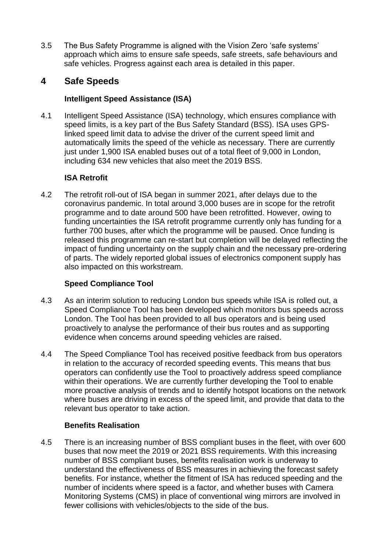3.5 The Bus Safety Programme is aligned with the Vision Zero 'safe systems' approach which aims to ensure safe speeds, safe streets, safe behaviours and safe vehicles. Progress against each area is detailed in this paper.

# **4 Safe Speeds**

### **Intelligent Speed Assistance (ISA)**

4.1 Intelligent Speed Assistance (ISA) technology, which ensures compliance with speed limits, is a key part of the Bus Safety Standard (BSS). ISA uses GPSlinked speed limit data to advise the driver of the current speed limit and automatically limits the speed of the vehicle as necessary. There are currently just under 1,900 ISA enabled buses out of a total fleet of 9,000 in London, including 634 new vehicles that also meet the 2019 BSS.

## **ISA Retrofit**

4.2 The retrofit roll-out of ISA began in summer 2021, after delays due to the coronavirus pandemic. In total around 3,000 buses are in scope for the retrofit programme and to date around 500 have been retrofitted. However, owing to funding uncertainties the ISA retrofit programme currently only has funding for a further 700 buses, after which the programme will be paused. Once funding is released this programme can re-start but completion will be delayed reflecting the impact of funding uncertainty on the supply chain and the necessary pre-ordering of parts. The widely reported global issues of electronics component supply has also impacted on this workstream.

#### **Speed Compliance Tool**

- 4.3 As an interim solution to reducing London bus speeds while ISA is rolled out, a Speed Compliance Tool has been developed which monitors bus speeds across London. The Tool has been provided to all bus operators and is being used proactively to analyse the performance of their bus routes and as supporting evidence when concerns around speeding vehicles are raised.
- 4.4 The Speed Compliance Tool has received positive feedback from bus operators in relation to the accuracy of recorded speeding events. This means that bus operators can confidently use the Tool to proactively address speed compliance within their operations. We are currently further developing the Tool to enable more proactive analysis of trends and to identify hotspot locations on the network where buses are driving in excess of the speed limit, and provide that data to the relevant bus operator to take action.

#### **Benefits Realisation**

4.5 There is an increasing number of BSS compliant buses in the fleet, with over 600 buses that now meet the 2019 or 2021 BSS requirements. With this increasing number of BSS compliant buses, benefits realisation work is underway to understand the effectiveness of BSS measures in achieving the forecast safety benefits. For instance, whether the fitment of ISA has reduced speeding and the number of incidents where speed is a factor, and whether buses with Camera Monitoring Systems (CMS) in place of conventional wing mirrors are involved in fewer collisions with vehicles/objects to the side of the bus.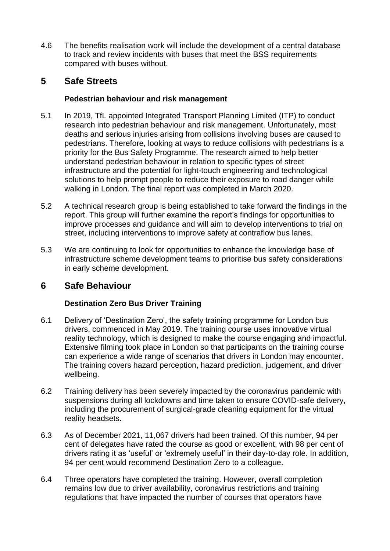4.6 The benefits realisation work will include the development of a central database to track and review incidents with buses that meet the BSS requirements compared with buses without.

# **5 Safe Streets**

### **Pedestrian behaviour and risk management**

- 5.1 In 2019, TfL appointed Integrated Transport Planning Limited (ITP) to conduct research into pedestrian behaviour and risk management. Unfortunately, most deaths and serious injuries arising from collisions involving buses are caused to pedestrians. Therefore, looking at ways to reduce collisions with pedestrians is a priority for the Bus Safety Programme. The research aimed to help better understand pedestrian behaviour in relation to specific types of street infrastructure and the potential for light-touch engineering and technological solutions to help prompt people to reduce their exposure to road danger while walking in London. The final report was completed in March 2020.
- 5.2 A technical research group is being established to take forward the findings in the report. This group will further examine the report's findings for opportunities to improve processes and guidance and will aim to develop interventions to trial on street, including interventions to improve safety at contraflow bus lanes.
- 5.3 We are continuing to look for opportunities to enhance the knowledge base of infrastructure scheme development teams to prioritise bus safety considerations in early scheme development.

# **6 Safe Behaviour**

## **Destination Zero Bus Driver Training**

- 6.1 Delivery of 'Destination Zero', the safety training programme for London bus drivers, commenced in May 2019. The training course uses innovative virtual reality technology, which is designed to make the course engaging and impactful. Extensive filming took place in London so that participants on the training course can experience a wide range of scenarios that drivers in London may encounter. The training covers hazard perception, hazard prediction, judgement, and driver wellbeing.
- 6.2 Training delivery has been severely impacted by the coronavirus pandemic with suspensions during all lockdowns and time taken to ensure COVID-safe delivery, including the procurement of surgical-grade cleaning equipment for the virtual reality headsets.
- 6.3 As of December 2021, 11,067 drivers had been trained. Of this number, 94 per cent of delegates have rated the course as good or excellent, with 98 per cent of drivers rating it as 'useful' or 'extremely useful' in their day-to-day role. In addition, 94 per cent would recommend Destination Zero to a colleague.
- 6.4 Three operators have completed the training. However, overall completion remains low due to driver availability, coronavirus restrictions and training regulations that have impacted the number of courses that operators have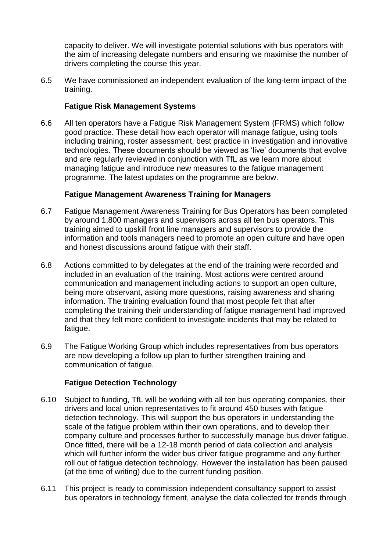capacity to deliver. We will investigate potential solutions with bus operators with the aim of increasing delegate numbers and ensuring we maximise the number of drivers completing the course this year.

6.5 We have commissioned an independent evaluation of the long-term impact of the training.

### **Fatigue Risk Management Systems**

6.6 All ten operators have a Fatigue Risk Management System (FRMS) which follow good practice. These detail how each operator will manage fatigue, using tools including training, roster assessment, best practice in investigation and innovative technologies. These documents should be viewed as 'live' documents that evolve and are regularly reviewed in conjunction with TfL as we learn more about managing fatigue and introduce new measures to the fatigue management programme. The latest updates on the programme are below.

#### **Fatigue Management Awareness Training for Managers**

- 6.7 Fatigue Management Awareness Training for Bus Operators has been completed by around 1,800 managers and supervisors across all ten bus operators. This training aimed to upskill front line managers and supervisors to provide the information and tools managers need to promote an open culture and have open and honest discussions around fatigue with their staff.
- 6.8 Actions committed to by delegates at the end of the training were recorded and included in an evaluation of the training. Most actions were centred around communication and management including actions to support an open culture, being more observant, asking more questions, raising awareness and sharing information. The training evaluation found that most people felt that after completing the training their understanding of fatigue management had improved and that they felt more confident to investigate incidents that may be related to fatigue.
- 6.9 The Fatigue Working Group which includes representatives from bus operators are now developing a follow up plan to further strengthen training and communication of fatigue.

#### **Fatigue Detection Technology**

- 6.10 Subject to funding, TfL will be working with all ten bus operating companies, their drivers and local union representatives to fit around 450 buses with fatigue detection technology. This will support the bus operators in understanding the scale of the fatigue problem within their own operations, and to develop their company culture and processes further to successfully manage bus driver fatigue. Once fitted, there will be a 12-18 month period of data collection and analysis which will further inform the wider bus driver fatigue programme and any further roll out of fatigue detection technology. However the installation has been paused (at the time of writing) due to the current funding position.
- 6.11 This project is ready to commission independent consultancy support to assist bus operators in technology fitment, analyse the data collected for trends through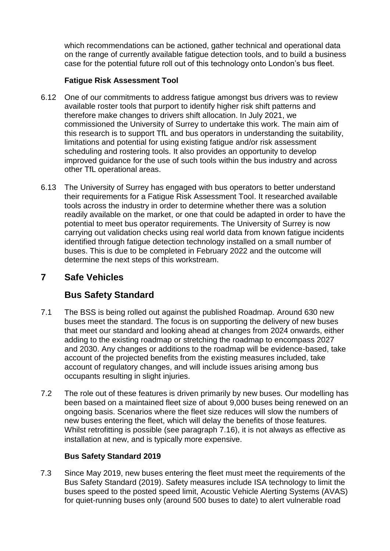which recommendations can be actioned, gather technical and operational data on the range of currently available fatigue detection tools, and to build a business case for the potential future roll out of this technology onto London's bus fleet.

### **Fatigue Risk Assessment Tool**

- 6.12 One of our commitments to address fatigue amongst bus drivers was to review available roster tools that purport to identify higher risk shift patterns and therefore make changes to drivers shift allocation. In July 2021, we commissioned the University of Surrey to undertake this work. The main aim of this research is to support TfL and bus operators in understanding the suitability, limitations and potential for using existing fatigue and/or risk assessment scheduling and rostering tools. It also provides an opportunity to develop improved guidance for the use of such tools within the bus industry and across other TfL operational areas.
- 6.13 The University of Surrey has engaged with bus operators to better understand their requirements for a Fatigue Risk Assessment Tool. It researched available tools across the industry in order to determine whether there was a solution readily available on the market, or one that could be adapted in order to have the potential to meet bus operator requirements. The University of Surrey is now carrying out validation checks using real world data from known fatigue incidents identified through fatigue detection technology installed on a small number of buses. This is due to be completed in February 2022 and the outcome will determine the next steps of this workstream.

# **7 Safe Vehicles**

# **Bus Safety Standard**

- 7.1 The BSS is being rolled out against the published Roadmap. Around 630 new buses meet the standard. The focus is on supporting the delivery of new buses that meet our standard and looking ahead at changes from 2024 onwards, either adding to the existing roadmap or stretching the roadmap to encompass 2027 and 2030. Any changes or additions to the roadmap will be evidence-based, take account of the projected benefits from the existing measures included, take account of regulatory changes, and will include issues arising among bus occupants resulting in slight injuries.
- 7.2 The role out of these features is driven primarily by new buses. Our modelling has been based on a maintained fleet size of about 9,000 buses being renewed on an ongoing basis. Scenarios where the fleet size reduces will slow the numbers of new buses entering the fleet, which will delay the benefits of those features. Whilst retrofitting is possible (see paragraph 7.16), it is not always as effective as installation at new, and is typically more expensive.

#### **Bus Safety Standard 2019**

7.3 Since May 2019, new buses entering the fleet must meet the requirements of the Bus Safety Standard (2019). Safety measures include ISA technology to limit the buses speed to the posted speed limit, Acoustic Vehicle Alerting Systems (AVAS) for quiet-running buses only (around 500 buses to date) to alert vulnerable road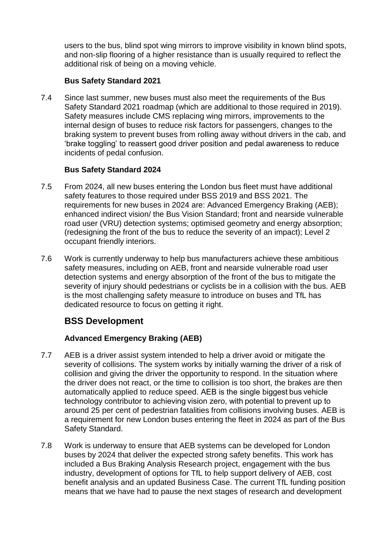users to the bus, blind spot wing mirrors to improve visibility in known blind spots, and non-slip flooring of a higher resistance than is usually required to reflect the additional risk of being on a moving vehicle.

### **Bus Safety Standard 2021**

7.4 Since last summer, new buses must also meet the requirements of the Bus Safety Standard 2021 roadmap (which are additional to those required in 2019). Safety measures include CMS replacing wing mirrors, improvements to the internal design of buses to reduce risk factors for passengers, changes to the braking system to prevent buses from rolling away without drivers in the cab, and 'brake toggling' to reassert good driver position and pedal awareness to reduce incidents of pedal confusion.

#### **Bus Safety Standard 2024**

- 7.5 From 2024, all new buses entering the London bus fleet must have additional safety features to those required under BSS 2019 and BSS 2021. The requirements for new buses in 2024 are: Advanced Emergency Braking (AEB); enhanced indirect vision/ the Bus Vision Standard; front and nearside vulnerable road user (VRU) detection systems; optimised geometry and energy absorption; (redesigning the front of the bus to reduce the severity of an impact); Level 2 occupant friendly interiors.
- 7.6 Work is currently underway to help bus manufacturers achieve these ambitious safety measures, including on AEB, front and nearside vulnerable road user detection systems and energy absorption of the front of the bus to mitigate the severity of injury should pedestrians or cyclists be in a collision with the bus. AEB is the most challenging safety measure to introduce on buses and TfL has dedicated resource to focus on getting it right.

# **BSS Development**

## **Advanced Emergency Braking (AEB)**

- 7.7 AEB is a driver assist system intended to help a driver avoid or mitigate the severity of collisions. The system works by initially warning the driver of a risk of collision and giving the driver the opportunity to respond. In the situation where the driver does not react, or the time to collision is too short, the brakes are then automatically applied to reduce speed. AEB is the single biggest bus vehicle technology contributor to achieving vision zero, with potential to prevent up to around 25 per cent of pedestrian fatalities from collisions involving buses. AEB is a requirement for new London buses entering the fleet in 2024 as part of the Bus Safety Standard.
- 7.8 Work is underway to ensure that AEB systems can be developed for London buses by 2024 that deliver the expected strong safety benefits. This work has included a Bus Braking Analysis Research project, engagement with the bus industry, development of options for TfL to help support delivery of AEB, cost benefit analysis and an updated Business Case. The current TfL funding position means that we have had to pause the next stages of research and development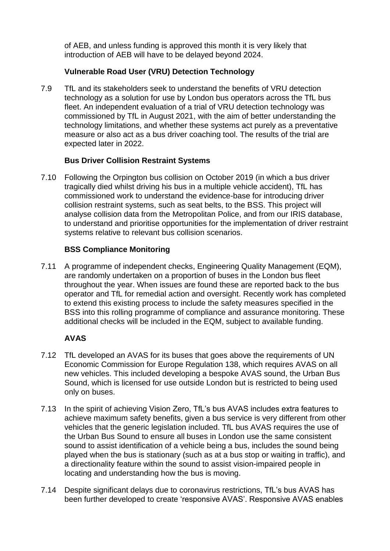of AEB, and unless funding is approved this month it is very likely that introduction of AEB will have to be delayed beyond 2024.

### **Vulnerable Road User (VRU) Detection Technology**

7.9 TfL and its stakeholders seek to understand the benefits of VRU detection technology as a solution for use by London bus operators across the TfL bus fleet. An independent evaluation of a trial of VRU detection technology was commissioned by TfL in August 2021, with the aim of better understanding the technology limitations, and whether these systems act purely as a preventative measure or also act as a bus driver coaching tool. The results of the trial are expected later in 2022.

#### **Bus Driver Collision Restraint Systems**

7.10 Following the Orpington bus collision on October 2019 (in which a bus driver tragically died whilst driving his bus in a multiple vehicle accident), TfL has commissioned work to understand the evidence-base for introducing driver collision restraint systems, such as seat belts, to the BSS. This project will analyse collision data from the Metropolitan Police, and from our IRIS database, to understand and prioritise opportunities for the implementation of driver restraint systems relative to relevant bus collision scenarios.

### **BSS Compliance Monitoring**

7.11 A programme of independent checks, Engineering Quality Management (EQM), are randomly undertaken on a proportion of buses in the London bus fleet throughout the year. When issues are found these are reported back to the bus operator and TfL for remedial action and oversight. Recently work has completed to extend this existing process to include the safety measures specified in the BSS into this rolling programme of compliance and assurance monitoring. These additional checks will be included in the EQM, subject to available funding.

## **AVAS**

- 7.12 TfL developed an AVAS for its buses that goes above the requirements of UN Economic Commission for Europe Regulation 138, which requires AVAS on all new vehicles. This included developing a bespoke AVAS sound, the Urban Bus Sound, which is licensed for use outside London but is restricted to being used only on buses.
- 7.13 In the spirit of achieving Vision Zero, TfL's bus AVAS includes extra features to achieve maximum safety benefits, given a bus service is very different from other vehicles that the generic legislation included. TfL bus AVAS requires the use of the Urban Bus Sound to ensure all buses in London use the same consistent sound to assist identification of a vehicle being a bus, includes the sound being played when the bus is stationary (such as at a bus stop or waiting in traffic), and a directionality feature within the sound to assist vision-impaired people in locating and understanding how the bus is moving.
- 7.14 Despite significant delays due to coronavirus restrictions, TfL's bus AVAS has been further developed to create 'responsive AVAS'. Responsive AVAS enables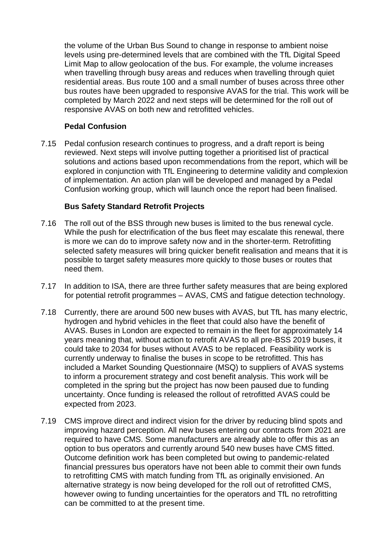the volume of the Urban Bus Sound to change in response to ambient noise levels using pre-determined levels that are combined with the TfL Digital Speed Limit Map to allow geolocation of the bus. For example, the volume increases when travelling through busy areas and reduces when travelling through quiet residential areas. Bus route 100 and a small number of buses across three other bus routes have been upgraded to responsive AVAS for the trial. This work will be completed by March 2022 and next steps will be determined for the roll out of responsive AVAS on both new and retrofitted vehicles.

### **Pedal Confusion**

7.15 Pedal confusion research continues to progress, and a draft report is being reviewed. Next steps will involve putting together a prioritised list of practical solutions and actions based upon recommendations from the report, which will be explored in conjunction with TfL Engineering to determine validity and complexion of implementation. An action plan will be developed and managed by a Pedal Confusion working group, which will launch once the report had been finalised.

#### **Bus Safety Standard Retrofit Projects**

- 7.16 The roll out of the BSS through new buses is limited to the bus renewal cycle. While the push for electrification of the bus fleet may escalate this renewal, there is more we can do to improve safety now and in the shorter-term. Retrofitting selected safety measures will bring quicker benefit realisation and means that it is possible to target safety measures more quickly to those buses or routes that need them.
- 7.17 In addition to ISA, there are three further safety measures that are being explored for potential retrofit programmes – AVAS, CMS and fatigue detection technology.
- 7.18 Currently, there are around 500 new buses with AVAS, but TfL has many electric, hydrogen and hybrid vehicles in the fleet that could also have the benefit of AVAS. Buses in London are expected to remain in the fleet for approximately 14 years meaning that, without action to retrofit AVAS to all pre-BSS 2019 buses, it could take to 2034 for buses without AVAS to be replaced. Feasibility work is currently underway to finalise the buses in scope to be retrofitted. This has included a Market Sounding Questionnaire (MSQ) to suppliers of AVAS systems to inform a procurement strategy and cost benefit analysis. This work will be completed in the spring but the project has now been paused due to funding uncertainty. Once funding is released the rollout of retrofitted AVAS could be expected from 2023.
- 7.19 CMS improve direct and indirect vision for the driver by reducing blind spots and improving hazard perception. All new buses entering our contracts from 2021 are required to have CMS. Some manufacturers are already able to offer this as an option to bus operators and currently around 540 new buses have CMS fitted. Outcome definition work has been completed but owing to pandemic-related financial pressures bus operators have not been able to commit their own funds to retrofitting CMS with match funding from TfL as originally envisioned. An alternative strategy is now being developed for the roll out of retrofitted CMS, however owing to funding uncertainties for the operators and TfL no retrofitting can be committed to at the present time.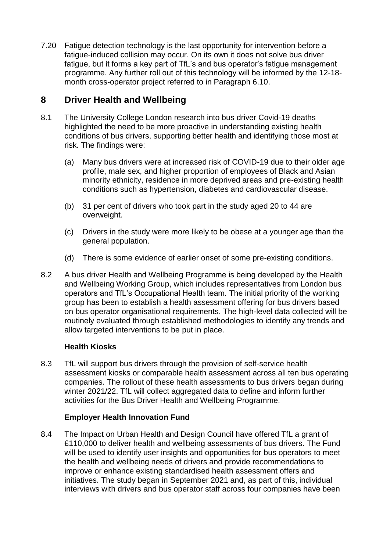7.20 Fatigue detection technology is the last opportunity for intervention before a fatigue-induced collision may occur. On its own it does not solve bus driver fatigue, but it forms a key part of TfL's and bus operator's fatigue management programme. Any further roll out of this technology will be informed by the 12-18 month cross-operator project referred to in Paragraph 6.10.

# **8 Driver Health and Wellbeing**

- 8.1 The University College London research into bus driver Covid-19 deaths highlighted the need to be more proactive in understanding existing health conditions of bus drivers, supporting better health and identifying those most at risk. The findings were:
	- (a) Many bus drivers were at increased risk of COVID-19 due to their older age profile, male sex, and higher proportion of employees of Black and Asian minority ethnicity, residence in more deprived areas and pre-existing health conditions such as hypertension, diabetes and cardiovascular disease.
	- (b) 31 per cent of drivers who took part in the study aged 20 to 44 are overweight.
	- (c) Drivers in the study were more likely to be obese at a younger age than the general population.
	- (d) There is some evidence of earlier onset of some pre-existing conditions.
- 8.2 A bus driver Health and Wellbeing Programme is being developed by the Health and Wellbeing Working Group, which includes representatives from London bus operators and TfL's Occupational Health team. The initial priority of the working group has been to establish a health assessment offering for bus drivers based on bus operator organisational requirements. The high-level data collected will be routinely evaluated through established methodologies to identify any trends and allow targeted interventions to be put in place.

#### **Health Kiosks**

8.3 TfL will support bus drivers through the provision of self-service health assessment kiosks or comparable health assessment across all ten bus operating companies. The rollout of these health assessments to bus drivers began during winter 2021/22. TfL will collect aggregated data to define and inform further activities for the Bus Driver Health and Wellbeing Programme.

#### **Employer Health Innovation Fund**

8.4 The Impact on Urban Health and Design Council have offered TfL a grant of £110,000 to deliver health and wellbeing assessments of bus drivers. The Fund will be used to identify user insights and opportunities for bus operators to meet the health and wellbeing needs of drivers and provide recommendations to improve or enhance existing standardised health assessment offers and initiatives. The study began in September 2021 and, as part of this, individual interviews with drivers and bus operator staff across four companies have been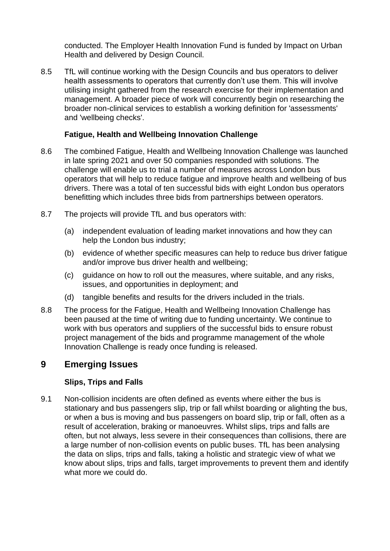conducted. The Employer Health Innovation Fund is funded by Impact on Urban Health and delivered by Design Council.

8.5 TfL will continue working with the Design Councils and bus operators to deliver health assessments to operators that currently don't use them. This will involve utilising insight gathered from the research exercise for their implementation and management. A broader piece of work will concurrently begin on researching the broader non-clinical services to establish a working definition for 'assessments' and 'wellbeing checks'.

#### **Fatigue, Health and Wellbeing Innovation Challenge**

- 8.6 The combined Fatigue, Health and Wellbeing Innovation Challenge was launched in late spring 2021 and over 50 companies responded with solutions. The challenge will enable us to trial a number of measures across London bus operators that will help to reduce fatigue and improve health and wellbeing of bus drivers. There was a total of ten successful bids with eight London bus operators benefitting which includes three bids from partnerships between operators.
- 8.7 The projects will provide TfL and bus operators with:
	- (a) independent evaluation of leading market innovations and how they can help the London bus industry;
	- (b) evidence of whether specific measures can help to reduce bus driver fatigue and/or improve bus driver health and wellbeing;
	- (c) guidance on how to roll out the measures, where suitable, and any risks, issues, and opportunities in deployment; and
	- (d) tangible benefits and results for the drivers included in the trials.
- 8.8 The process for the Fatigue, Health and Wellbeing Innovation Challenge has been paused at the time of writing due to funding uncertainty. We continue to work with bus operators and suppliers of the successful bids to ensure robust project management of the bids and programme management of the whole Innovation Challenge is ready once funding is released.

## **9 Emerging Issues**

#### **Slips, Trips and Falls**

9.1 Non-collision incidents are often defined as events where either the bus is stationary and bus passengers slip, trip or fall whilst boarding or alighting the bus, or when a bus is moving and bus passengers on board slip, trip or fall, often as a result of acceleration, braking or manoeuvres. Whilst slips, trips and falls are often, but not always, less severe in their consequences than collisions, there are a large number of non-collision events on public buses. TfL has been analysing the data on slips, trips and falls, taking a holistic and strategic view of what we know about slips, trips and falls, target improvements to prevent them and identify what more we could do.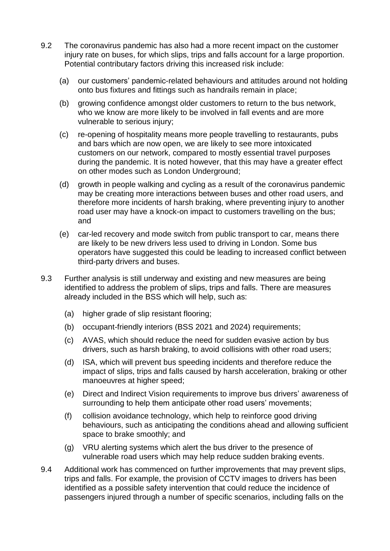- 9.2 The coronavirus pandemic has also had a more recent impact on the customer injury rate on buses, for which slips, trips and falls account for a large proportion. Potential contributary factors driving this increased risk include:
	- (a) our customers' pandemic-related behaviours and attitudes around not holding onto bus fixtures and fittings such as handrails remain in place;
	- (b) growing confidence amongst older customers to return to the bus network, who we know are more likely to be involved in fall events and are more vulnerable to serious injury;
	- (c) re-opening of hospitality means more people travelling to restaurants, pubs and bars which are now open, we are likely to see more intoxicated customers on our network, compared to mostly essential travel purposes during the pandemic. It is noted however, that this may have a greater effect on other modes such as London Underground;
	- (d) growth in people walking and cycling as a result of the coronavirus pandemic may be creating more interactions between buses and other road users, and therefore more incidents of harsh braking, where preventing injury to another road user may have a knock-on impact to customers travelling on the bus; and
	- (e) car-led recovery and mode switch from public transport to car, means there are likely to be new drivers less used to driving in London. Some bus operators have suggested this could be leading to increased conflict between third-party drivers and buses.
- 9.3 Further analysis is still underway and existing and new measures are being identified to address the problem of slips, trips and falls. There are measures already included in the BSS which will help, such as:
	- (a) higher grade of slip resistant flooring;
	- (b) occupant-friendly interiors (BSS 2021 and 2024) requirements;
	- (c) AVAS, which should reduce the need for sudden evasive action by bus drivers, such as harsh braking, to avoid collisions with other road users;
	- (d) ISA, which will prevent bus speeding incidents and therefore reduce the impact of slips, trips and falls caused by harsh acceleration, braking or other manoeuvres at higher speed;
	- (e) Direct and Indirect Vision requirements to improve bus drivers' awareness of surrounding to help them anticipate other road users' movements;
	- (f) collision avoidance technology, which help to reinforce good driving behaviours, such as anticipating the conditions ahead and allowing sufficient space to brake smoothly; and
	- (g) VRU alerting systems which alert the bus driver to the presence of vulnerable road users which may help reduce sudden braking events.
- 9.4 Additional work has commenced on further improvements that may prevent slips, trips and falls. For example, the provision of CCTV images to drivers has been identified as a possible safety intervention that could reduce the incidence of passengers injured through a number of specific scenarios, including falls on the